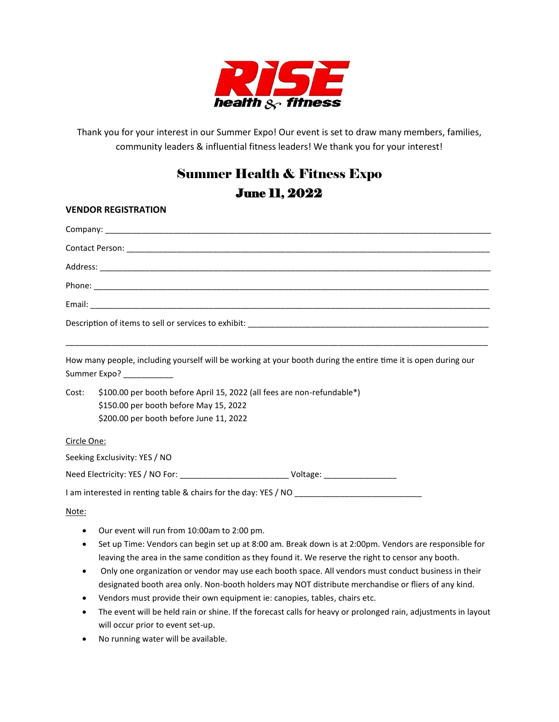

Thank you for your interest in our Summer Expo! Our event is set to draw many members, families, community leaders & influential fitness leaders! We thank you for your interest!

## Summer Health & Fitness Expo June 11, 2022

## **VENDOR REGISTRATION**

|             | How many people, including yourself will be working at your booth during the entire time it is open during our<br>Summer Expo? ___________ |  |  |  |  |  |  |
|-------------|--------------------------------------------------------------------------------------------------------------------------------------------|--|--|--|--|--|--|
| Cost:       | \$100.00 per booth before April 15, 2022 (all fees are non-refundable*)                                                                    |  |  |  |  |  |  |
|             | \$150.00 per booth before May 15, 2022                                                                                                     |  |  |  |  |  |  |
|             | \$200.00 per booth before June 11, 2022                                                                                                    |  |  |  |  |  |  |
| Circle One: |                                                                                                                                            |  |  |  |  |  |  |
|             | Seeking Exclusivity: YES / NO                                                                                                              |  |  |  |  |  |  |
|             | Need Electricity: YES / NO For: ______________________________Voltage: _____________________________                                       |  |  |  |  |  |  |
|             |                                                                                                                                            |  |  |  |  |  |  |
| Note:       |                                                                                                                                            |  |  |  |  |  |  |
| $\bullet$   | Our event will run from 10:00am to 2:00 pm.                                                                                                |  |  |  |  |  |  |

- Set up Time: Vendors can begin set up at 8:00 am. Break down is at 2:00pm. Vendors are responsible for leaving the area in the same condition as they found it. We reserve the right to censor any booth.
- Only one organization or vendor may use each booth space. All vendors must conduct business in their designated booth area only. Non-booth holders may NOT distribute merchandise or fliers of any kind.
- Vendors must provide their own equipment ie: canopies, tables, chairs etc.
- The event will be held rain or shine. If the forecast calls for heavy or prolonged rain, adjustments in layout will occur prior to event set-up.
- No running water will be available.